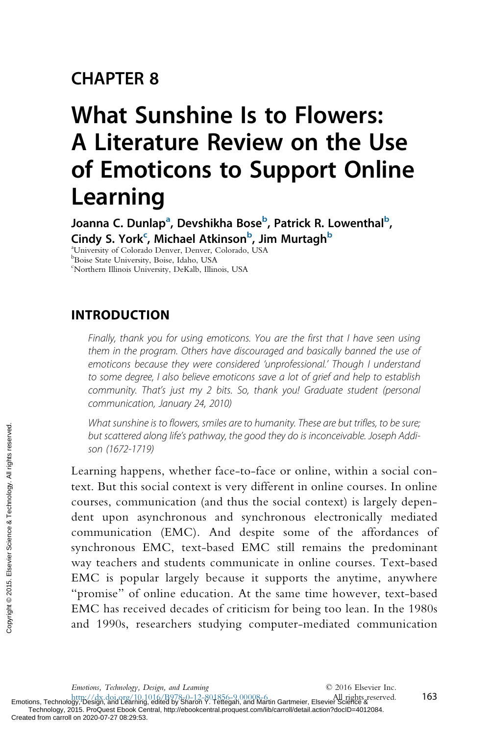## CHAPTER 8

# What Sunshine Is to Flowers: A Literature Review on the Use of Emoticons to Support Online Learning

Joanna C. Dunlap<sup>a</sup>, Devshikha Bose<sup>b</sup>, Patrick R. Lowenthal<sup>b</sup>, Cindy S. York<sup>c</sup>, Michael Atkinson<sup>b</sup>, Jim Murtagh<sup>b</sup>

a University of Colorado Denver, Denver, Colorado, USA b Boise State University, Boise, Idaho, USA c Northern Illinois University, DeKalb, Illinois, USA

#### INTRODUCTION

Finally, thank you for using emoticons. You are the first that I have seen using them in the program. Others have discouraged and basically banned the use of emoticons because they were considered 'unprofessional.' Though I understand to some degree, I also believe emoticons save a lot of grief and help to establish community. That's just my 2 bits. So, thank you! Graduate student (personal communication, January 24, 2010)

What sunshine is to flowers, smiles are to humanity. These are but trifles, to be sure; but scattered along life's pathway, the good they do is inconceivable. Joseph Addison (1672-1719)

Learning happens, whether face-to-face or online, within a social context. But this social context is very different in online courses. In online courses, communication (and thus the social context) is largely dependent upon asynchronous and synchronous electronically mediated communication (EMC). And despite some of the affordances of synchronous EMC, text-based EMC still remains the predominant way teachers and students communicate in online courses. Text-based EMC is popular largely because it supports the anytime, anywhere "promise" of online education. At the same time however, text-based EMC has received decades of criticism for being too lean. In the 1980s and 1990s, researchers studying computer-mediated communication communication<br>synchronous E<br>way teachers a<br>EMC is popul<br>"promise" of c<br>EMC has recei<br>and 1990s, res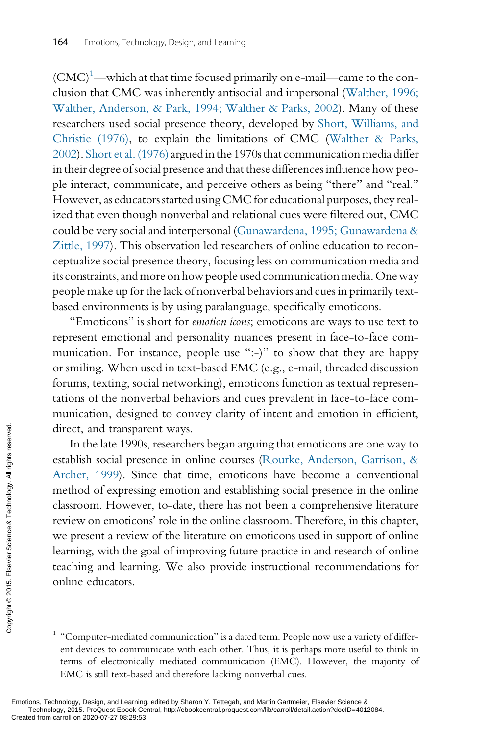$(CMC)<sup>1</sup>$ —which at that time focused primarily on e-mail—came to the conclusion that CMC was inherently antisocial and impersonal (Walther, 1996; Walther, Anderson, & Park, 1994; Walther & Parks, 2002). Many of these researchers used social presence theory, developed by Short, Williams, and Christie (1976), to explain the limitations of CMC (Walther & Parks, 2002). Short et al. (1976) argued in the 1970s that communication media differ in their degree of social presence and that these differences influence how people interact, communicate, and perceive others as being "there" and "real." However, as educators started using CMC for educational purposes, they realized that even though nonverbal and relational cues were filtered out, CMC could be very social and interpersonal (Gunawardena, 1995; Gunawardena & Zittle, 1997). This observation led researchers of online education to reconceptualize social presence theory, focusing less on communication media and its constraints, and more on how people used communication media. One way people make up for the lack of nonverbal behaviors and cues in primarily textbased environments is by using paralanguage, specifically emoticons.

"Emoticons" is short for emotion icons; emoticons are ways to use text to represent emotional and personality nuances present in face-to-face communication. For instance, people use ":-)" to show that they are happy or smiling. When used in text-based EMC (e.g., e-mail, threaded discussion forums, texting, social networking), emoticons function as textual representations of the nonverbal behaviors and cues prevalent in face-to-face communication, designed to convey clarity of intent and emotion in efficient, direct, and transparent ways.

In the late 1990s, researchers began arguing that emoticons are one way to establish social presence in online courses (Rourke, Anderson, Garrison, & Archer, 1999). Since that time, emoticons have become a conventional method of expressing emotion and establishing social presence in the online classroom. However, to-date, there has not been a comprehensive literature review on emoticons' role in the online classroom. Therefore, in this chapter, we present a review of the literature on emoticons used in support of online learning, with the goal of improving future practice in and research of online teaching and learning. We also provide instructional recommendations for online educators. review on emoticon<br>we present a review<br>learning, with the g<br>teaching and learnii<br>online educators.<br><sup>1</sup> "Computer-mediated<br>ent devices to commuterms of electronical<br>EMC is still text-base

 $1$  "Computer-mediated communication" is a dated term. People now use a variety of different devices to communicate with each other. Thus, it is perhaps more useful to think in terms of electronically mediated communication (EMC). However, the majority of EMC is still text-based and therefore lacking nonverbal cues.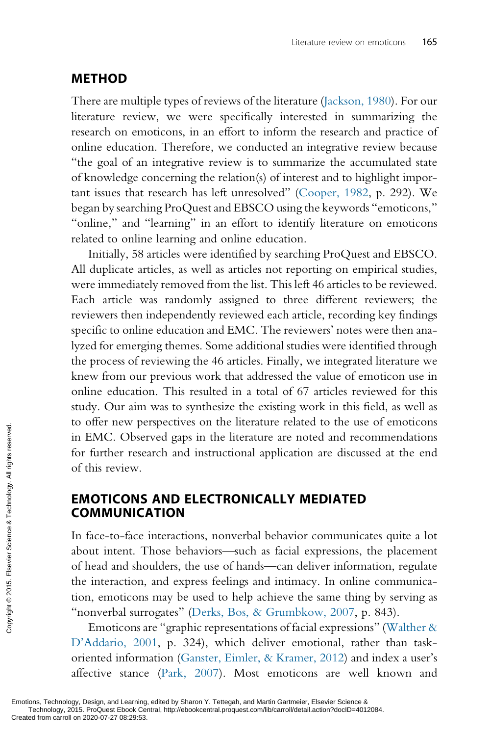#### METHOD

There are multiple types of reviews of the literature (Jackson, 1980). For our literature review, we were specifically interested in summarizing the research on emoticons, in an effort to inform the research and practice of online education. Therefore, we conducted an integrative review because "the goal of an integrative review is to summarize the accumulated state of knowledge concerning the relation(s) of interest and to highlight important issues that research has left unresolved" (Cooper, 1982, p. 292). We began by searching ProQuest and EBSCO using the keywords "emoticons," "online," and "learning" in an effort to identify literature on emoticons related to online learning and online education.

Initially, 58 articles were identified by searching ProQuest and EBSCO. All duplicate articles, as well as articles not reporting on empirical studies, were immediately removed from the list. This left 46 articles to be reviewed. Each article was randomly assigned to three different reviewers; the reviewers then independently reviewed each article, recording key findings specific to online education and EMC. The reviewers' notes were then analyzed for emerging themes. Some additional studies were identified through the process of reviewing the 46 articles. Finally, we integrated literature we knew from our previous work that addressed the value of emoticon use in online education. This resulted in a total of 67 articles reviewed for this study. Our aim was to synthesize the existing work in this field, as well as to offer new perspectives on the literature related to the use of emoticons in EMC. Observed gaps in the literature are noted and recommendations for further research and instructional application are discussed at the end of this review.

#### EMOTICONS AND ELECTRONICALLY MEDIATED COMMUNICATION

In face-to-face interactions, nonverbal behavior communicates quite a lot about intent. Those behaviors—such as facial expressions, the placement of head and shoulders, the use of hands—can deliver information, regulate the interaction, and express feelings and intimacy. In online communication, emoticons may be used to help achieve the same thing by serving as "nonverbal surrogates" (Derks, Bos, & Grumbkow, 2007, p. 843). In face-to-face<br>about intent. T<br>of head and sho<br>the interaction,<br>tion, emoticons<br>"nonverbal surr<br>Emoticons a<br>D'Addario, 200<br>oriented inform<br>affective stance

Emoticons are "graphic representations of facial expressions" (Walther & D'Addario, 2001, p. 324), which deliver emotional, rather than taskoriented information (Ganster, Eimler, & Kramer, 2012) and index a user's affective stance (Park, 2007). Most emoticons are well known and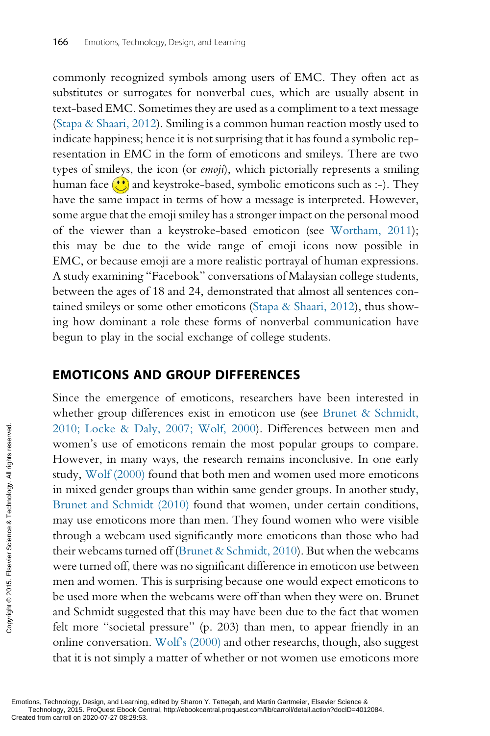commonly recognized symbols among users of EMC. They often act as substitutes or surrogates for nonverbal cues, which are usually absent in text-based EMC. Sometimes they are used as a compliment to a text message (Stapa & Shaari, 2012). Smiling is a common human reaction mostly used to indicate happiness; hence it is not surprising that it has found a symbolic representation in EMC in the form of emoticons and smileys. There are two types of smileys, the icon (or emoji), which pictorially represents a smiling human face  $\bigcirc$  and keystroke-based, symbolic emoticons such as :-). They have the same impact in terms of how a message is interpreted. However, some argue that the emoji smiley has a stronger impact on the personal mood of the viewer than a keystroke-based emoticon (see Wortham, 2011); this may be due to the wide range of emoji icons now possible in EMC, or because emoji are a more realistic portrayal of human expressions. A study examining "Facebook" conversations of Malaysian college students, between the ages of 18 and 24, demonstrated that almost all sentences contained smileys or some other emoticons (Stapa & Shaari, 2012), thus showing how dominant a role these forms of nonverbal communication have begun to play in the social exchange of college students.

#### EMOTICONS AND GROUP DIFFERENCES

Since the emergence of emoticons, researchers have been interested in whether group differences exist in emoticon use (see Brunet & Schmidt, 2010; Locke & Daly, 2007; Wolf, 2000). Differences between men and women's use of emoticons remain the most popular groups to compare. However, in many ways, the research remains inconclusive. In one early study, Wolf (2000) found that both men and women used more emoticons in mixed gender groups than within same gender groups. In another study, Brunet and Schmidt (2010) found that women, under certain conditions, may use emoticons more than men. They found women who were visible through a webcam used significantly more emoticons than those who had their webcams turned off (Brunet & Schmidt, 2010). But when the webcams were turned off, there was no significant difference in emoticon use between men and women. This is surprising because one would expect emoticons to be used more when the webcams were off than when they were on. Brunet and Schmidt suggested that this may have been due to the fact that women felt more "societal pressure" (p. 203) than men, to appear friendly in an online conversation. Wolf's (2000) and other researchs, though, also suggest that it is not simply a matter of whether or not women use emoticons more may use emoticons<br>through a webcam<br>their webcams turno<br>were turned off, the<br>men and women. T<br>be used more when<br>and Schmidt sugges<br>felt more "societal<br>online conversation<br>that it is not simply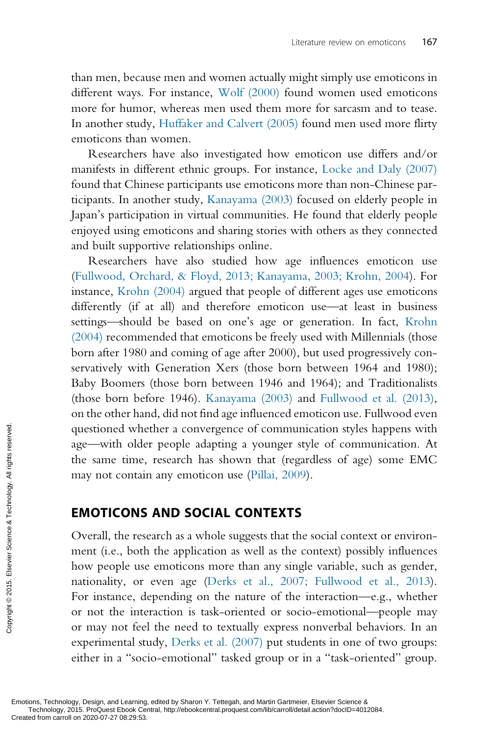than men, because men and women actually might simply use emoticons in different ways. For instance, Wolf (2000) found women used emoticons more for humor, whereas men used them more for sarcasm and to tease. In another study, Huffaker and Calvert (2005) found men used more flirty emoticons than women.

Researchers have also investigated how emoticon use differs and/or manifests in different ethnic groups. For instance, Locke and Daly (2007) found that Chinese participants use emoticons more than non-Chinese participants. In another study, Kanayama (2003) focused on elderly people in Japan's participation in virtual communities. He found that elderly people enjoyed using emoticons and sharing stories with others as they connected and built supportive relationships online.

Researchers have also studied how age influences emoticon use (Fullwood, Orchard, & Floyd, 2013; Kanayama, 2003; Krohn, 2004). For instance, Krohn (2004) argued that people of different ages use emoticons differently (if at all) and therefore emoticon use—at least in business settings—should be based on one's age or generation. In fact, Krohn (2004) recommended that emoticons be freely used with Millennials (those born after 1980 and coming of age after 2000), but used progressively conservatively with Generation Xers (those born between 1964 and 1980); Baby Boomers (those born between 1946 and 1964); and Traditionalists (those born before 1946). Kanayama (2003) and Fullwood et al. (2013), on the other hand, did not find age influenced emoticon use. Fullwood even questioned whether a convergence of communication styles happens with age—with older people adapting a younger style of communication. At the same time, research has shown that (regardless of age) some EMC may not contain any emoticon use (Pillai, 2009).

#### EMOTICONS AND SOCIAL CONTEXTS

Overall, the research as a whole suggests that the social context or environment (i.e., both the application as well as the context) possibly influences how people use emoticons more than any single variable, such as gender, nationality, or even age (Derks et al., 2007; Fullwood et al., 2013). For instance, depending on the nature of the interaction—e.g., whether or not the interaction is task-oriented or socio-emotional—people may or may not feel the need to textually express nonverbal behaviors. In an experimental study, Derks et al. (2007) put students in one of two groups: either in a "socio-emotional" tasked group or in a "task-oriented" group. Overall, the reso<br>ment (i.e., both<br>how people use<br>nationality, or<br>For instance, d<br>or not the inte<br>or may not fee<br>experimental sti<br>either in a "soc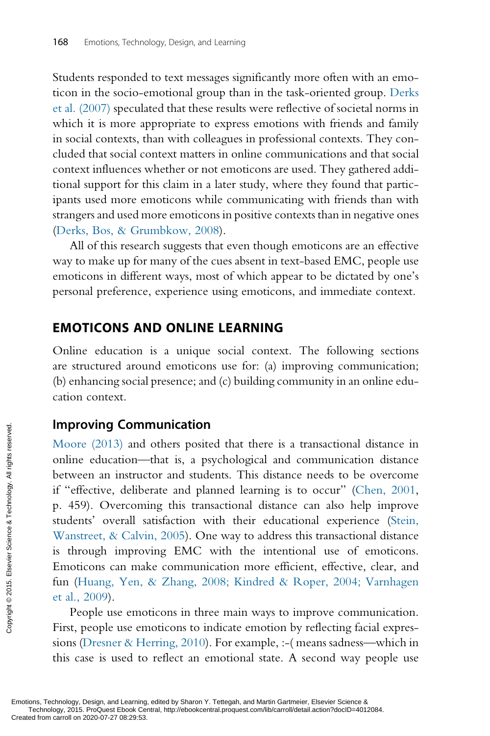Students responded to text messages significantly more often with an emoticon in the socio-emotional group than in the task-oriented group. Derks et al. (2007) speculated that these results were reflective of societal norms in which it is more appropriate to express emotions with friends and family in social contexts, than with colleagues in professional contexts. They concluded that social context matters in online communications and that social context influences whether or not emoticons are used. They gathered additional support for this claim in a later study, where they found that participants used more emoticons while communicating with friends than with strangers and used more emoticons in positive contexts than in negative ones (Derks, Bos, & Grumbkow, 2008).

All of this research suggests that even though emoticons are an effective way to make up for many of the cues absent in text-based EMC, people use emoticons in different ways, most of which appear to be dictated by one's personal preference, experience using emoticons, and immediate context.

#### EMOTICONS AND ONLINE LEARNING

Online education is a unique social context. The following sections are structured around emoticons use for: (a) improving communication; (b) enhancing social presence; and (c) building community in an online education context.

#### Improving Communication

Moore (2013) and others posited that there is a transactional distance in online education—that is, a psychological and communication distance between an instructor and students. This distance needs to be overcome if "effective, deliberate and planned learning is to occur" (Chen, 2001, p. 459). Overcoming this transactional distance can also help improve students' overall satisfaction with their educational experience (Stein, Wanstreet, & Calvin, 2005). One way to address this transactional distance is through improving EMC with the intentional use of emoticons. Emoticons can make communication more efficient, effective, clear, and fun (Huang, Yen, & Zhang, 2008; Kindred & Roper, 2004; Varnhagen et al., 2009). students overall s.<br>
Wanstreet, & Calvi<br>
is through improv<br>
Emoticons can mal<br>
fun (Huang, Yen,<br>
et al., 2009).<br>
People use emo<br>
First, people use em<br>
sions (Dresner & He<br>
this case is used to

People use emoticons in three main ways to improve communication. First, people use emoticons to indicate emotion by reflecting facial expressions (Dresner & Herring, 2010). For example, :-( means sadness—which in this case is used to reflect an emotional state. A second way people use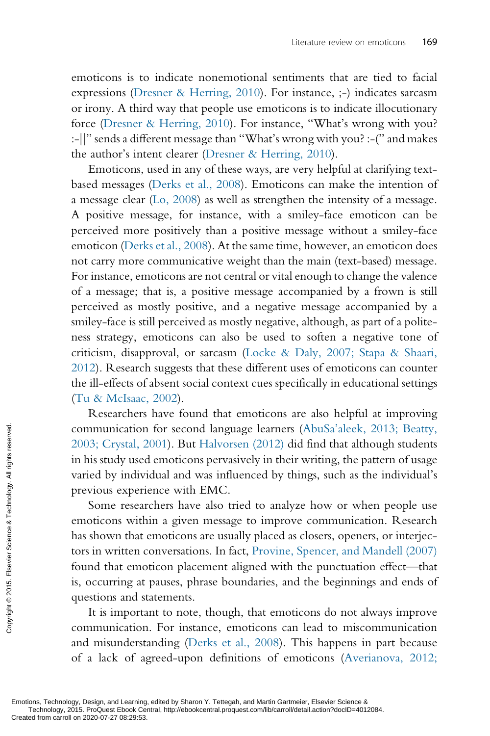emoticons is to indicate nonemotional sentiments that are tied to facial expressions (Dresner & Herring, 2010). For instance, ;-) indicates sarcasm or irony. A third way that people use emoticons is to indicate illocutionary force (Dresner & Herring, 2010). For instance, "What's wrong with you? :-||" sends a different message than "What's wrong with you? :-(" and makes the author's intent clearer (Dresner & Herring, 2010).

Emoticons, used in any of these ways, are very helpful at clarifying textbased messages (Derks et al., 2008). Emoticons can make the intention of a message clear (Lo, 2008) as well as strengthen the intensity of a message. A positive message, for instance, with a smiley-face emoticon can be perceived more positively than a positive message without a smiley-face emoticon (Derks et al., 2008). At the same time, however, an emoticon does not carry more communicative weight than the main (text-based) message. For instance, emoticons are not central or vital enough to change the valence of a message; that is, a positive message accompanied by a frown is still perceived as mostly positive, and a negative message accompanied by a smiley-face is still perceived as mostly negative, although, as part of a politeness strategy, emoticons can also be used to soften a negative tone of criticism, disapproval, or sarcasm (Locke & Daly, 2007; Stapa & Shaari, 2012). Research suggests that these different uses of emoticons can counter the ill-effects of absent social context cues specifically in educational settings (Tu & McIsaac, 2002).

Researchers have found that emoticons are also helpful at improving communication for second language learners (AbuSa'aleek, 2013; Beatty, 2003; Crystal, 2001). But Halvorsen (2012) did find that although students in his study used emoticons pervasively in their writing, the pattern of usage varied by individual and was influenced by things, such as the individual's previous experience with EMC.

Some researchers have also tried to analyze how or when people use emoticons within a given message to improve communication. Research has shown that emoticons are usually placed as closers, openers, or interjectors in written conversations. In fact, Provine, Spencer, and Mandell (2007) found that emoticon placement aligned with the punctuation effect—that is, occurring at pauses, phrase boundaries, and the beginnings and ends of questions and statements. emoticons with<br>has shown that<br>tors in written c<br>found that emo<br>is, occurring at<br>questions and st<br>It is importa<br>communication<br>and misundersts<br>of a lack of as

It is important to note, though, that emoticons do not always improve communication. For instance, emoticons can lead to miscommunication and misunderstanding (Derks et al., 2008). This happens in part because of a lack of agreed-upon definitions of emoticons (Averianova, 2012;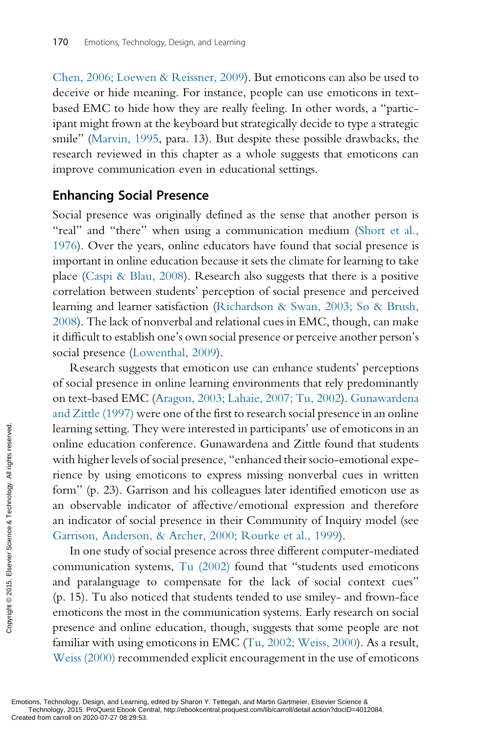Chen, 2006; Loewen & Reissner, 2009). But emoticons can also be used to deceive or hide meaning. For instance, people can use emoticons in textbased EMC to hide how they are really feeling. In other words, a "participant might frown at the keyboard but strategically decide to type a strategic smile" (Marvin, 1995, para. 13). But despite these possible drawbacks, the research reviewed in this chapter as a whole suggests that emoticons can improve communication even in educational settings.

#### Enhancing Social Presence

Social presence was originally defined as the sense that another person is "real" and "there" when using a communication medium (Short et al., 1976). Over the years, online educators have found that social presence is important in online education because it sets the climate for learning to take place (Caspi & Blau, 2008). Research also suggests that there is a positive correlation between students' perception of social presence and perceived learning and learner satisfaction (Richardson & Swan, 2003; So & Brush, 2008). The lack of nonverbal and relational cues in EMC, though, can make it difficult to establish one's own social presence or perceive another person's social presence (Lowenthal, 2009).

Research suggests that emoticon use can enhance students' perceptions of social presence in online learning environments that rely predominantly on text-based EMC (Aragon, 2003; Lahaie, 2007; Tu, 2002). Gunawardena and Zittle (1997) were one of the first to research social presence in an online learning setting. They were interested in participants' use of emoticons in an online education conference. Gunawardena and Zittle found that students with higher levels of social presence, "enhanced their socio-emotional experience by using emoticons to express missing nonverbal cues in written form" (p. 23). Garrison and his colleagues later identified emoticon use as an observable indicator of affective/emotional expression and therefore an indicator of social presence in their Community of Inquiry model (see Garrison, Anderson, & Archer, 2000; Rourke et al., 1999).

In one study of social presence across three different computer-mediated communication systems, Tu (2002) found that "students used emoticons and paralanguage to compensate for the lack of social context cues" (p. 15). Tu also noticed that students tended to use smiley- and frown-face emoticons the most in the communication systems. Early research on social presence and online education, though, suggests that some people are not familiar with using emoticons in EMC (Tu, 2002; Weiss, 2000). As a result, Weiss (2000) recommended explicit encouragement in the use of emoticons an indicator of social<br>Garrison, Anderson<br>In one study of s<br>communication sys<br>and paralanguage<br>(p. 15). Tu also not<br>emoticons the most<br>presence and online<br>familiar with using of<br>Weiss (2000) recom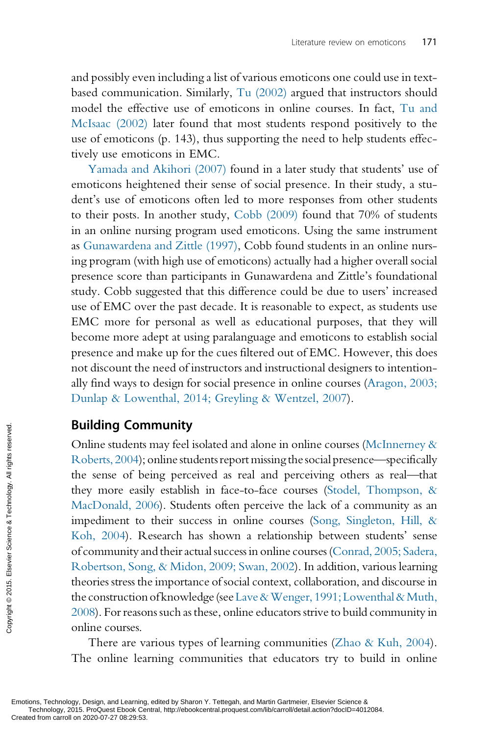and possibly even including a list of various emoticons one could use in textbased communication. Similarly, Tu (2002) argued that instructors should model the effective use of emoticons in online courses. In fact, Tu and McIsaac (2002) later found that most students respond positively to the use of emoticons (p. 143), thus supporting the need to help students effectively use emoticons in EMC.

Yamada and Akihori (2007) found in a later study that students' use of emoticons heightened their sense of social presence. In their study, a student's use of emoticons often led to more responses from other students to their posts. In another study, Cobb (2009) found that 70% of students in an online nursing program used emoticons. Using the same instrument as Gunawardena and Zittle (1997), Cobb found students in an online nursing program (with high use of emoticons) actually had a higher overall social presence score than participants in Gunawardena and Zittle's foundational study. Cobb suggested that this difference could be due to users' increased use of EMC over the past decade. It is reasonable to expect, as students use EMC more for personal as well as educational purposes, that they will become more adept at using paralanguage and emoticons to establish social presence and make up for the cues filtered out of EMC. However, this does not discount the need of instructors and instructional designers to intentionally find ways to design for social presence in online courses (Aragon, 2003; Dunlap & Lowenthal, 2014; Greyling & Wentzel, 2007).

#### Building Community

Online students may feel isolated and alone in online courses (McInnerney & Roberts, 2004); online students report missingthe social presence—specifically the sense of being perceived as real and perceiving others as real—that they more easily establish in face-to-face courses (Stodel, Thompson, & MacDonald, 2006). Students often perceive the lack of a community as an impediment to their success in online courses (Song, Singleton, Hill, & Koh, 2004). Research has shown a relationship between students' sense of community andtheir actual success in online courses (Conrad, 2005; Sadera, Robertson, Song, & Midon, 2009; Swan, 2002). In addition, various learning theories stress the importance of social context, collaboration, and discourse in the construction of knowledge (see Lave & Wenger, 1991; Lowenthal & Muth, 2008). For reasons such as these, online educators strive to build community in online courses. mpeament to<br>Koh, 2004). R<br>of community an<br>Robertson, Son<br>theories stress th<br>the construction<br>2008). For reaso<br>online courses.<br>There are v:<br>The online lea

There are various types of learning communities (Zhao & Kuh, 2004). The online learning communities that educators try to build in online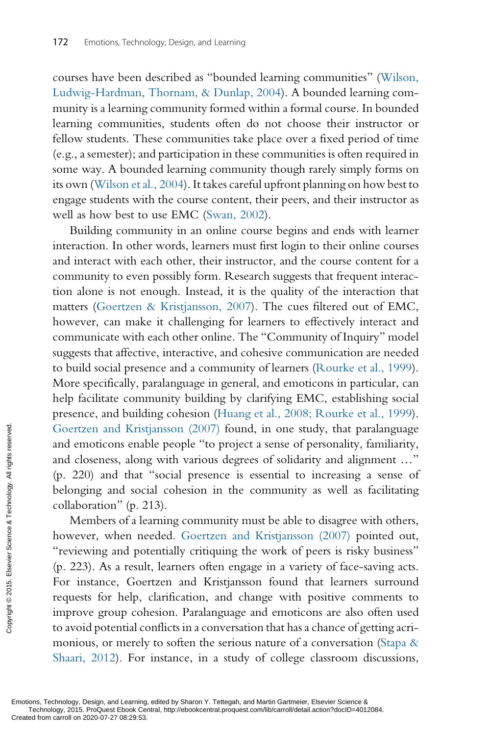courses have been described as "bounded learning communities" (Wilson, Ludwig-Hardman, Thornam, & Dunlap, 2004). A bounded learning community is a learning community formed within a formal course. In bounded learning communities, students often do not choose their instructor or fellow students. These communities take place over a fixed period of time (e.g., a semester); and participation in these communities is often required in some way. A bounded learning community though rarely simply forms on its own (Wilson et al., 2004). It takes careful upfront planning on how best to engage students with the course content, their peers, and their instructor as well as how best to use EMC (Swan, 2002).

Building community in an online course begins and ends with learner interaction. In other words, learners must first login to their online courses and interact with each other, their instructor, and the course content for a community to even possibly form. Research suggests that frequent interaction alone is not enough. Instead, it is the quality of the interaction that matters (Goertzen & Kristjansson, 2007). The cues filtered out of EMC, however, can make it challenging for learners to effectively interact and communicate with each other online. The "Community of Inquiry" model suggests that affective, interactive, and cohesive communication are needed to build social presence and a community of learners (Rourke et al., 1999). More specifically, paralanguage in general, and emoticons in particular, can help facilitate community building by clarifying EMC, establishing social presence, and building cohesion (Huang et al., 2008; Rourke et al., 1999). Goertzen and Kristjansson (2007) found, in one study, that paralanguage and emoticons enable people "to project a sense of personality, familiarity, and closeness, along with various degrees of solidarity and alignment …" (p. 220) and that "social presence is essential to increasing a sense of belonging and social cohesion in the community as well as facilitating collaboration" (p. 213).

Members of a learning community must be able to disagree with others, however, when needed. Goertzen and Kristjansson (2007) pointed out, "reviewing and potentially critiquing the work of peers is risky business" (p. 223). As a result, learners often engage in a variety of face-saving acts. For instance, Goertzen and Kristjansson found that learners surround requests for help, clarification, and change with positive comments to improve group cohesion. Paralanguage and emoticons are also often used to avoid potential conflicts in a conversation that has a chance of getting acrimonious, or merely to soften the serious nature of a conversation (Stapa & Shaari, 2012). For instance, in a study of college classroom discussions, Members or a le<br>
thowever, when ne<br>
"reviewing and pot<br>
(p. 223). As a resul<br>
For instance, Goe<br>
requests for help,<br>
improve group coh<br>
to avoid potential cc<br>
monious, or merely<br>
Shaari, 2012). For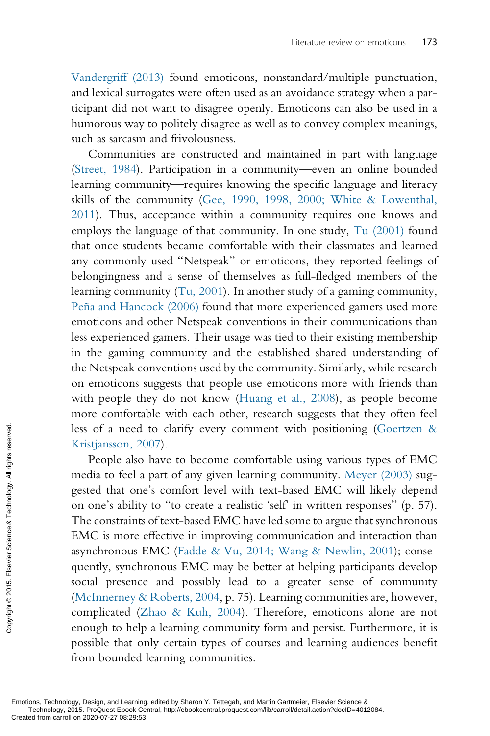Vandergriff (2013) found emoticons, nonstandard/multiple punctuation, and lexical surrogates were often used as an avoidance strategy when a participant did not want to disagree openly. Emoticons can also be used in a humorous way to politely disagree as well as to convey complex meanings, such as sarcasm and frivolousness.

Communities are constructed and maintained in part with language (Street, 1984). Participation in a community—even an online bounded learning community—requires knowing the specific language and literacy skills of the community (Gee, 1990, 1998, 2000; White & Lowenthal, 2011). Thus, acceptance within a community requires one knows and employs the language of that community. In one study, Tu (2001) found that once students became comfortable with their classmates and learned any commonly used "Netspeak" or emoticons, they reported feelings of belongingness and a sense of themselves as full-fledged members of the learning community (Tu, 2001). In another study of a gaming community, Peña and Hancock (2006) found that more experienced gamers used more emoticons and other Netspeak conventions in their communications than less experienced gamers. Their usage was tied to their existing membership in the gaming community and the established shared understanding of the Netspeak conventions used by the community. Similarly, while research on emoticons suggests that people use emoticons more with friends than with people they do not know (Huang et al., 2008), as people become more comfortable with each other, research suggests that they often feel less of a need to clarify every comment with positioning (Goertzen & Kristjansson, 2007).

People also have to become comfortable using various types of EMC media to feel a part of any given learning community. Meyer (2003) suggested that one's comfort level with text-based EMC will likely depend on one's ability to "to create a realistic 'self' in written responses" (p. 57). The constraints of text-based EMC have led some to argue that synchronous EMC is more effective in improving communication and interaction than asynchronous EMC (Fadde & Vu, 2014; Wang & Newlin, 2001); consequently, synchronous EMC may be better at helping participants develop social presence and possibly lead to a greater sense of community (McInnerney & Roberts, 2004, p. 75). Learning communities are, however, complicated (Zhao & Kuh, 2004). Therefore, emoticons alone are not enough to help a learning community form and persist. Furthermore, it is possible that only certain types of courses and learning audiences benefit from bounded learning communities. The constraints<br>EMC is more e<br>asynchronous E<br>quently, synchr<br>social presence<br>(McInnerney &<br>complicated (Z<br>enough to help<br>possible that or<br>from bounded l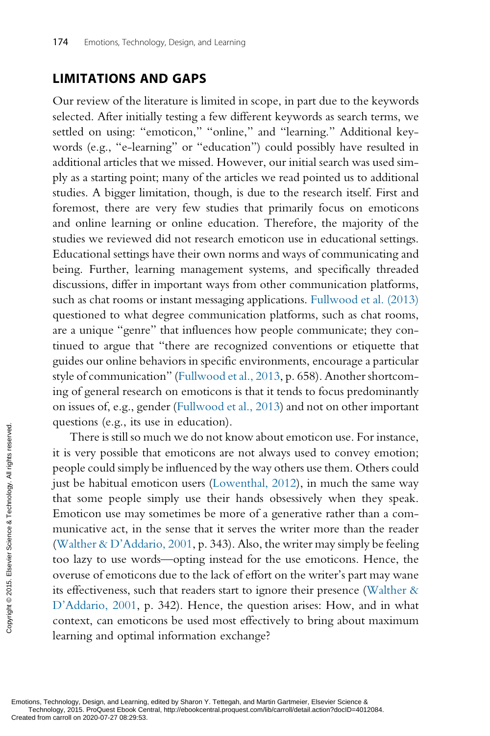#### LIMITATIONS AND GAPS

Our review of the literature is limited in scope, in part due to the keywords selected. After initially testing a few different keywords as search terms, we settled on using: "emoticon," "online," and "learning." Additional keywords (e.g., "e-learning" or "education") could possibly have resulted in additional articles that we missed. However, our initial search was used simply as a starting point; many of the articles we read pointed us to additional studies. A bigger limitation, though, is due to the research itself. First and foremost, there are very few studies that primarily focus on emoticons and online learning or online education. Therefore, the majority of the studies we reviewed did not research emoticon use in educational settings. Educational settings have their own norms and ways of communicating and being. Further, learning management systems, and specifically threaded discussions, differ in important ways from other communication platforms, such as chat rooms or instant messaging applications. Fullwood et al. (2013) questioned to what degree communication platforms, such as chat rooms, are a unique "genre" that influences how people communicate; they continued to argue that "there are recognized conventions or etiquette that guides our online behaviors in specific environments, encourage a particular style of communication" (Fullwood et al., 2013, p. 658). Another shortcoming of general research on emoticons is that it tends to focus predominantly on issues of, e.g., gender (Fullwood et al., 2013) and not on other important questions (e.g., its use in education).

There is still so much we do not know about emoticon use. For instance, it is very possible that emoticons are not always used to convey emotion; people could simply be influenced by the way others use them. Others could just be habitual emoticon users (Lowenthal, 2012), in much the same way that some people simply use their hands obsessively when they speak. Emoticon use may sometimes be more of a generative rather than a communicative act, in the sense that it serves the writer more than the reader (Walther & D'Addario, 2001, p. 343). Also, the writer may simply be feeling too lazy to use words—opting instead for the use emoticons. Hence, the overuse of emoticons due to the lack of effort on the writer's part may wane its effectiveness, such that readers start to ignore their presence (Walther & D'Addario, 2001, p. 342). Hence, the question arises: How, and in what context, can emoticons be used most effectively to bring about maximum learning and optimal information exchange? municative act, in t<br>(Walther & D'Adda<br>too lazy to use woo<br>overuse of emotico<br>its effectiveness, suc<br>D'Addario, 2001, p<br>context, can emotic<br>learning and optima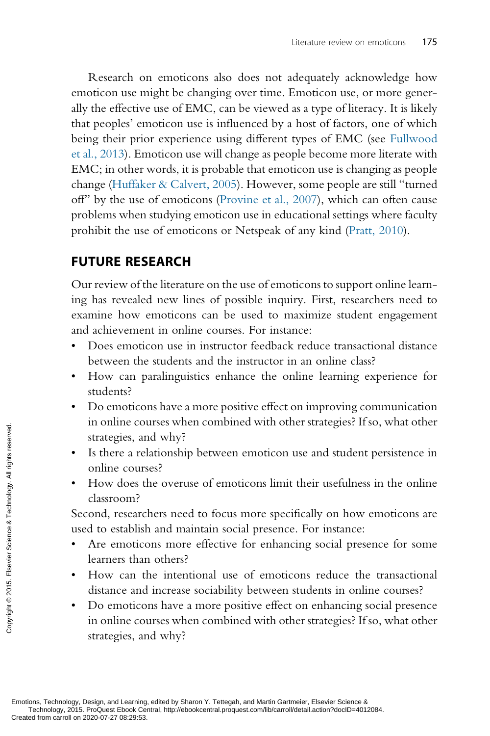Research on emoticons also does not adequately acknowledge how emoticon use might be changing over time. Emoticon use, or more generally the effective use of EMC, can be viewed as a type of literacy. It is likely that peoples' emoticon use is influenced by a host of factors, one of which being their prior experience using different types of EMC (see Fullwood et al., 2013). Emoticon use will change as people become more literate with EMC; in other words, it is probable that emoticon use is changing as people change (Huffaker & Calvert, 2005). However, some people are still "turned off" by the use of emoticons (Provine et al., 2007), which can often cause problems when studying emoticon use in educational settings where faculty prohibit the use of emoticons or Netspeak of any kind (Pratt, 2010).

## FUTURE RESEARCH

Our review of the literature on the use of emoticons to support online learning has revealed new lines of possible inquiry. First, researchers need to examine how emoticons can be used to maximize student engagement and achievement in online courses. For instance:

- Does emoticon use in instructor feedback reduce transactional distance between the students and the instructor in an online class?
- How can paralinguistics enhance the online learning experience for students?
- Do emoticons have a more positive effect on improving communication in online courses when combined with other strategies? If so, what other strategies, and why?
- Is there a relationship between emoticon use and student persistence in online courses?
- How does the overuse of emoticons limit their usefulness in the online classroom?

Second, researchers need to focus more specifically on how emoticons are used to establish and maintain social presence. For instance:

- Are emoticons more effective for enhancing social presence for some learners than others?
- How can the intentional use of emoticons reduce the transactional distance and increase sociability between students in online courses?
- Do emoticons have a more positive effect on enhancing social presence in online courses when combined with other strategies? If so, what other strategies, and why? used to establish<br>
• Are emotic<br>
learners thar<br>
• How can the distance and<br>
• Do emotico<br>
in online coustrategies, are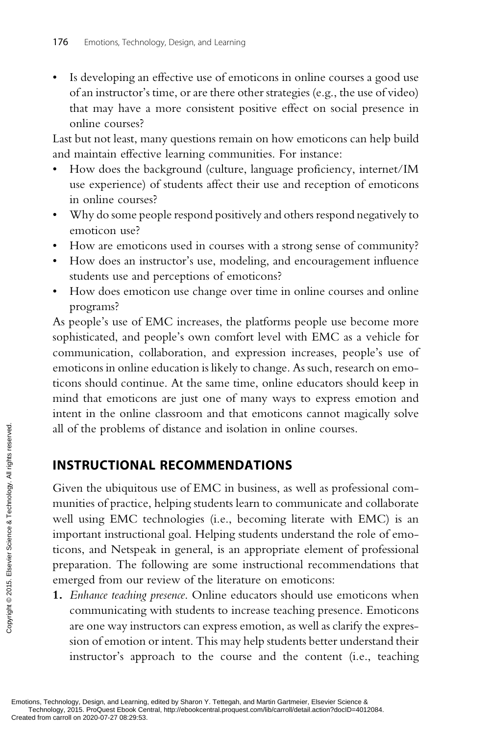• Is developing an effective use of emoticons in online courses a good use of an instructor's time, or are there other strategies (e.g., the use of video) that may have a more consistent positive effect on social presence in online courses?

Last but not least, many questions remain on how emoticons can help build and maintain effective learning communities. For instance:

- How does the background (culture, language proficiency, internet/IM use experience) of students affect their use and reception of emoticons in online courses?
- Why do some people respond positively and others respond negatively to emoticon use?
- How are emoticons used in courses with a strong sense of community?
- How does an instructor's use, modeling, and encouragement influence students use and perceptions of emoticons?
- How does emoticon use change over time in online courses and online programs?

As people's use of EMC increases, the platforms people use become more sophisticated, and people's own comfort level with EMC as a vehicle for communication, collaboration, and expression increases, people's use of emoticons in online education is likely to change. As such, research on emoticons should continue. At the same time, online educators should keep in mind that emoticons are just one of many ways to express emotion and intent in the online classroom and that emoticons cannot magically solve all of the problems of distance and isolation in online courses.

### INSTRUCTIONAL RECOMMENDATIONS

Given the ubiquitous use of EMC in business, as well as professional communities of practice, helping students learn to communicate and collaborate well using EMC technologies (i.e., becoming literate with EMC) is an important instructional goal. Helping students understand the role of emoticons, and Netspeak in general, is an appropriate element of professional preparation. The following are some instructional recommendations that emerged from our review of the literature on emoticons:

1. Enhance teaching presence. Online educators should use emoticons when communicating with students to increase teaching presence. Emoticons are one way instructors can express emotion, as well as clarify the expression of emotion or intent. This may help students better understand their instructor's approach to the course and the content (i.e., teaching wen using ENC 6<br>
important instructions, and Netspee<br>
preparation. The fe<br>
emerged from our<br>
1. *Enhance teaching*<br>
communicating<br>
are one way inst<br>
sion of emotion<br>
instructor's app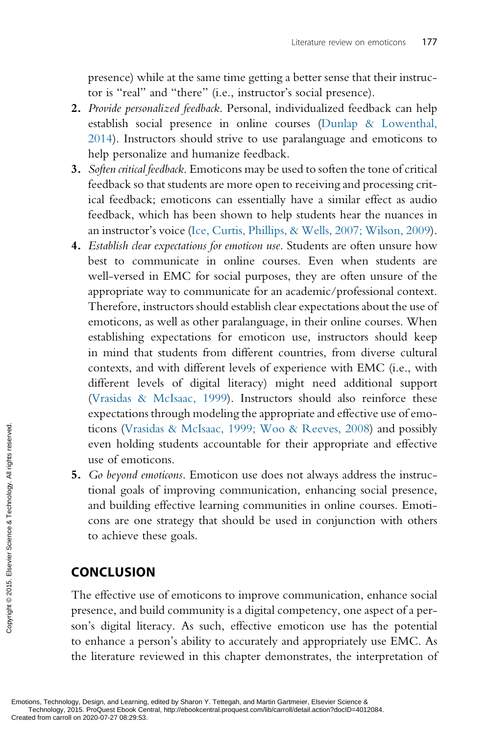presence) while at the same time getting a better sense that their instructor is "real" and "there" (i.e., instructor's social presence).

- 2. Provide personalized feedback. Personal, individualized feedback can help establish social presence in online courses (Dunlap & Lowenthal, 2014). Instructors should strive to use paralanguage and emoticons to help personalize and humanize feedback.
- 3. Soften critical feedback. Emoticons may be used to soften the tone of critical feedback so that students are more open to receiving and processing critical feedback; emoticons can essentially have a similar effect as audio feedback, which has been shown to help students hear the nuances in an instructor's voice (Ice, Curtis, Phillips, & Wells, 2007; Wilson, 2009).
- 4. Establish clear expectations for emoticon use. Students are often unsure how best to communicate in online courses. Even when students are well-versed in EMC for social purposes, they are often unsure of the appropriate way to communicate for an academic/professional context. Therefore, instructors should establish clear expectations about the use of emoticons, as well as other paralanguage, in their online courses. When establishing expectations for emoticon use, instructors should keep in mind that students from different countries, from diverse cultural contexts, and with different levels of experience with EMC (i.e., with different levels of digital literacy) might need additional support (Vrasidas & McIsaac, 1999). Instructors should also reinforce these expectations through modeling the appropriate and effective use of emoticons (Vrasidas & McIsaac, 1999; Woo & Reeves, 2008) and possibly even holding students accountable for their appropriate and effective use of emoticons.
- 5. Go beyond emoticons. Emoticon use does not always address the instructional goals of improving communication, enhancing social presence, and building effective learning communities in online courses. Emoticons are one strategy that should be used in conjunction with others to achieve these goals.

## CONCLUSION

The effective use of emoticons to improve communication, enhance social presence, and build community is a digital competency, one aspect of a person's digital literacy. As such, effective emoticon use has the potential to enhance a person's ability to accurately and appropriately use EMC. As the literature reviewed in this chapter demonstrates, the interpretation of cons are on<br>to achieve tl<br>**CONCLUSIO**<br>The effective us<br>presence, and b<br>son's digital lit<br>to enhance a pe<br>the literature re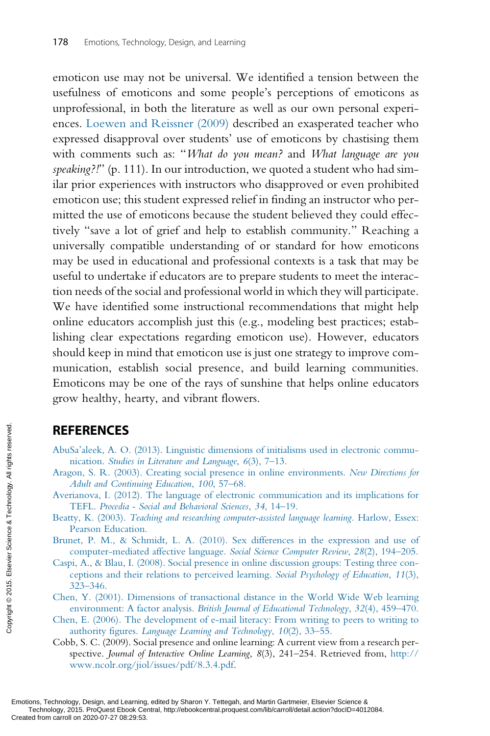emoticon use may not be universal. We identified a tension between the usefulness of emoticons and some people's perceptions of emoticons as unprofessional, in both the literature as well as our own personal experiences. Loewen and Reissner (2009) described an exasperated teacher who expressed disapproval over students' use of emoticons by chastising them with comments such as: "What do you mean? and What language are you speaking?!" (p. 111). In our introduction, we quoted a student who had similar prior experiences with instructors who disapproved or even prohibited emoticon use; this student expressed relief in finding an instructor who permitted the use of emoticons because the student believed they could effectively "save a lot of grief and help to establish community." Reaching a universally compatible understanding of or standard for how emoticons may be used in educational and professional contexts is a task that may be useful to undertake if educators are to prepare students to meet the interaction needs of the social and professional world in which they will participate. We have identified some instructional recommendations that might help online educators accomplish just this (e.g., modeling best practices; establishing clear expectations regarding emoticon use). However, educators should keep in mind that emoticon use is just one strategy to improve communication, establish social presence, and build learning communities. Emoticons may be one of the rays of sunshine that helps online educators grow healthy, hearty, and vibrant flowers.

#### **REFERENCES**

- [AbuSa'aleek, A. O. \(2013\). Linguistic dimensions of initialisms used in electronic commu-](http://refhub.elsevier.com/B978-0-12-801856-9.00008-6/rf0010)nication. [Studies in Literature and Language](http://refhub.elsevier.com/B978-0-12-801856-9.00008-6/rf0010), 6(3), 7-13.
- [Aragon, S. R. \(2003\). Creating social presence in online environments.](http://refhub.elsevier.com/B978-0-12-801856-9.00008-6/rf0015) New Directions for [Adult and Continuing Education](http://refhub.elsevier.com/B978-0-12-801856-9.00008-6/rf0015), 100, 57–68.
- [Averianova, I. \(2012\). The language of electronic communication and its implications for](http://refhub.elsevier.com/B978-0-12-801856-9.00008-6/rf0020) TEFL. [Procedia - Social and Behavioral Sciences](http://refhub.elsevier.com/B978-0-12-801856-9.00008-6/rf0020), 34, 14–19.
- Beatty, K. (2003). [Teaching and researching computer-assisted language learning.](http://refhub.elsevier.com/B978-0-12-801856-9.00008-6/rf0025) Harlow, Essex: [Pearson Education.](http://refhub.elsevier.com/B978-0-12-801856-9.00008-6/rf0025)
- [Brunet, P. M., & Schmidt, L. A. \(2010\). Sex differences in the expression and use of](http://refhub.elsevier.com/B978-0-12-801856-9.00008-6/rf0030) [computer-mediated affective language.](http://refhub.elsevier.com/B978-0-12-801856-9.00008-6/rf0030) Social Science Computer Review, 28(2), 194-205.
- [Caspi, A., & Blau, I. \(2008\). Social presence in online discussion groups: Testing three con](http://refhub.elsevier.com/B978-0-12-801856-9.00008-6/rf0035)[ceptions and their relations to perceived learning.](http://refhub.elsevier.com/B978-0-12-801856-9.00008-6/rf0035) Social Psychology of Education, 11(3), [323–346.](http://refhub.elsevier.com/B978-0-12-801856-9.00008-6/rf0035)
- [Chen, Y. \(2001\). Dimensions of transactional distance in the World Wide Web learning](http://refhub.elsevier.com/B978-0-12-801856-9.00008-6/rf0040) environment: A factor analysis. [British Journal of Educational Technology](http://refhub.elsevier.com/B978-0-12-801856-9.00008-6/rf0040), 32(4), 459–470.
- [Chen, E. \(2006\). The development of e-mail literacy: From writing to peers to writing to](http://refhub.elsevier.com/B978-0-12-801856-9.00008-6/rf0045) authority figures. [Language Learning and Technology](http://refhub.elsevier.com/B978-0-12-801856-9.00008-6/rf0045), 10(2), 33–55.
- Cobb, S. C. (2009). Social presence and online learning: A current view from a research perspective. Journal of Interactive Online Learning, 8(3), 241–254. Retrieved from, [http://](http://www.ncolr.org/jiol/issues/pdf/8.3.4.pdf) [www.ncolr.org/jiol/issues/pdf/8.3.4.pdf.](http://www.ncolr.org/jiol/issues/pdf/8.3.4.pdf) Pearson Education.<br>Pearson Education.<br>Brunet, P. M., & Schi<br>computer-mediated<br>Caspi, A., & Blau, I. (20<br>ceptions and their 1<br>323–346.<br>Chen, Y. (2001). Dimensity figures.<br>A. Chen, E. (2006). The cauthority figures. L<br>Cobb,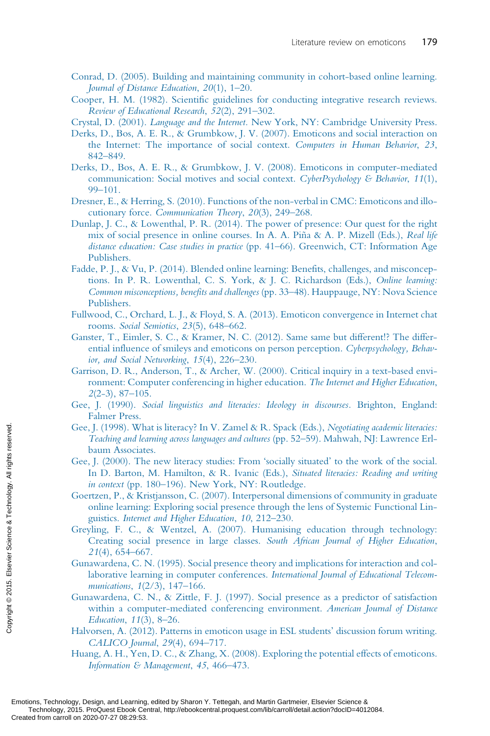- [Conrad, D. \(2005\). Building and maintaining community in cohort-based online learning.](http://refhub.elsevier.com/B978-0-12-801856-9.00008-6/rf0055) [Journal of Distance Education](http://refhub.elsevier.com/B978-0-12-801856-9.00008-6/rf0055), 20(1), 1–20.
- [Cooper, H. M. \(1982\). Scientific guidelines for conducting integrative research reviews.](http://refhub.elsevier.com/B978-0-12-801856-9.00008-6/rf0060) [Review of Educational Research](http://refhub.elsevier.com/B978-0-12-801856-9.00008-6/rf0060), 52(2), 291–302.
- Crystal, D. (2001). Language and the Internet. [New York, NY: Cambridge University Press.](http://refhub.elsevier.com/B978-0-12-801856-9.00008-6/rf0065)
- [Derks, D., Bos, A. E. R., & Grumbkow, J. V. \(2007\). Emoticons and social interaction on](http://refhub.elsevier.com/B978-0-12-801856-9.00008-6/rf0070) [the Internet: The importance of social context.](http://refhub.elsevier.com/B978-0-12-801856-9.00008-6/rf0070) Computers in Human Behavior, 23, [842–849.](http://refhub.elsevier.com/B978-0-12-801856-9.00008-6/rf0070)
- [Derks, D., Bos, A. E. R., & Grumbkow, J. V. \(2008\). Emoticons in computer-mediated](http://refhub.elsevier.com/B978-0-12-801856-9.00008-6/rf0075) [communication: Social motives and social context.](http://refhub.elsevier.com/B978-0-12-801856-9.00008-6/rf0075) CyberPsychology & Behavior, 11(1), [99–101.](http://refhub.elsevier.com/B978-0-12-801856-9.00008-6/rf0075)
- [Dresner, E., & Herring, S. \(2010\). Functions of the non-verbal in CMC: Emoticons and illo](http://refhub.elsevier.com/B978-0-12-801856-9.00008-6/rf0080)cutionary force. [Communication Theory](http://refhub.elsevier.com/B978-0-12-801856-9.00008-6/rf0080), 20(3), 249–268.
- [Dunlap, J. C., & Lowenthal, P. R. \(2014\). The power of presence: Our quest for the right](http://refhub.elsevier.com/B978-0-12-801856-9.00008-6/rf0085) mix of social presence in online courses. In A. A. Piña & A. P. Mizell (Eds.), Real life distance education: Case studies in practice [\(pp. 41–66\). Greenwich, CT: Information Age](http://refhub.elsevier.com/B978-0-12-801856-9.00008-6/rf0085) [Publishers.](http://refhub.elsevier.com/B978-0-12-801856-9.00008-6/rf0085)
- [Fadde, P. J., & Vu, P. \(2014\). Blended online learning: Benefits, challenges, and misconcep](http://refhub.elsevier.com/B978-0-12-801856-9.00008-6/rf0090)[tions. In P. R. Lowenthal, C. S. York, & J. C. Richardson \(Eds.\),](http://refhub.elsevier.com/B978-0-12-801856-9.00008-6/rf0090) Online learning: Common misconceptions, benefits and challenges [\(pp. 33–48\). Hauppauge, NY: Nova Science](http://refhub.elsevier.com/B978-0-12-801856-9.00008-6/rf0090) [Publishers.](http://refhub.elsevier.com/B978-0-12-801856-9.00008-6/rf0090)
- [Fullwood, C., Orchard, L. J., & Floyd, S. A. \(2013\). Emoticon convergence in Internet chat](http://refhub.elsevier.com/B978-0-12-801856-9.00008-6/rf0095) rooms. [Social Semiotics](http://refhub.elsevier.com/B978-0-12-801856-9.00008-6/rf0095), 23(5), 648–662.
- [Ganster, T., Eimler, S. C., & Kramer, N. C. \(2012\). Same same but different!? The differ](http://refhub.elsevier.com/B978-0-12-801856-9.00008-6/rf0100)[ential influence of smileys and emoticons on person perception.](http://refhub.elsevier.com/B978-0-12-801856-9.00008-6/rf0100) Cyberpsychology, Behav[ior, and Social Networking](http://refhub.elsevier.com/B978-0-12-801856-9.00008-6/rf0100), 15(4), 226–230.
- [Garrison, D. R., Anderson, T., & Archer, W. \(2000\). Critical inquiry in a text-based envi](http://refhub.elsevier.com/B978-0-12-801856-9.00008-6/rf0105)[ronment: Computer conferencing in higher education.](http://refhub.elsevier.com/B978-0-12-801856-9.00008-6/rf0105) The Internet and Higher Education, 2[\(2-3\), 87–105.](http://refhub.elsevier.com/B978-0-12-801856-9.00008-6/rf0105)
- Gee, J. (1990). [Social linguistics and literacies: Ideology in discourses.](http://refhub.elsevier.com/B978-0-12-801856-9.00008-6/rf0110) Brighton, England: [Falmer Press.](http://refhub.elsevier.com/B978-0-12-801856-9.00008-6/rf0110)
- [Gee, J. \(1998\). What is literacy? In V. Zamel & R. Spack \(Eds.\),](http://refhub.elsevier.com/B978-0-12-801856-9.00008-6/rf0115) Negotiating academic literacies: [Teaching and learning across languages and cultures](http://refhub.elsevier.com/B978-0-12-801856-9.00008-6/rf0115) (pp. 52–59). Mahwah, NJ: Lawrence Erl[baum Associates.](http://refhub.elsevier.com/B978-0-12-801856-9.00008-6/rf0115)
- [Gee, J. \(2000\). The new literacy studies: From 'socially situated' to the work of the social.](http://refhub.elsevier.com/B978-0-12-801856-9.00008-6/rf0120) [In D. Barton, M. Hamilton, & R. Ivanic \(Eds.\),](http://refhub.elsevier.com/B978-0-12-801856-9.00008-6/rf0120) Situated literacies: Reading and writing in context [\(pp. 180–196\). New York, NY: Routledge.](http://refhub.elsevier.com/B978-0-12-801856-9.00008-6/rf0120)
- [Goertzen, P., & Kristjansson, C. \(2007\). Interpersonal dimensions of community in graduate](http://refhub.elsevier.com/B978-0-12-801856-9.00008-6/rf0125) [online learning: Exploring social presence through the lens of Systemic Functional Lin](http://refhub.elsevier.com/B978-0-12-801856-9.00008-6/rf0125)guistics. [Internet and Higher Education](http://refhub.elsevier.com/B978-0-12-801856-9.00008-6/rf0125), 10, 212–230.
- [Greyling, F. C., & Wentzel, A. \(2007\). Humanising education through technology:](http://refhub.elsevier.com/B978-0-12-801856-9.00008-6/rf0130) [Creating social presence in large classes.](http://refhub.elsevier.com/B978-0-12-801856-9.00008-6/rf0130) South African Journal of Higher Education, 21[\(4\), 654–667.](http://refhub.elsevier.com/B978-0-12-801856-9.00008-6/rf0130)
- [Gunawardena, C. N. \(1995\). Social presence theory and implications for interaction and col](http://refhub.elsevier.com/B978-0-12-801856-9.00008-6/rf0135)[laborative learning in computer conferences.](http://refhub.elsevier.com/B978-0-12-801856-9.00008-6/rf0135) International Journal of Educational Telecommunications, 1[\(2/3\), 147–166.](http://refhub.elsevier.com/B978-0-12-801856-9.00008-6/rf0135)
- [Gunawardena, C. N., & Zittle, F. J. \(1997\). Social presence as a predictor of satisfaction](http://refhub.elsevier.com/B978-0-12-801856-9.00008-6/rf0140) [within a computer-mediated conferencing environment.](http://refhub.elsevier.com/B978-0-12-801856-9.00008-6/rf0140) American Journal of Distance [Education](http://refhub.elsevier.com/B978-0-12-801856-9.00008-6/rf0140), 11(3), 8–26. Greyling, F. C.,<br>
Greyling, F. C.,<br>
Creating socia<br>
21(4), 654–667<br>
Gunawardena, C. Maborative learr<br> *munications*, 1(2)<br>
Gunawardena, C.<br>
within a comp<br> *Education*, 11(3)<br>
Halvorsen, A. (201)<br> *CALICO Jour*<br>
Huang, A. H
	- [Halvorsen, A. \(2012\). Patterns in emoticon usage in ESL students' discussion forum writing.](http://refhub.elsevier.com/B978-0-12-801856-9.00008-6/rf0145) [CALICO Journal](http://refhub.elsevier.com/B978-0-12-801856-9.00008-6/rf0145), 29(4), 694-717.
	- [Huang, A. H., Yen, D. C., & Zhang, X. \(2008\). Exploring the potential effects of emoticons.](http://refhub.elsevier.com/B978-0-12-801856-9.00008-6/rf0150) [Information & Management](http://refhub.elsevier.com/B978-0-12-801856-9.00008-6/rf0150), 45, 466–473.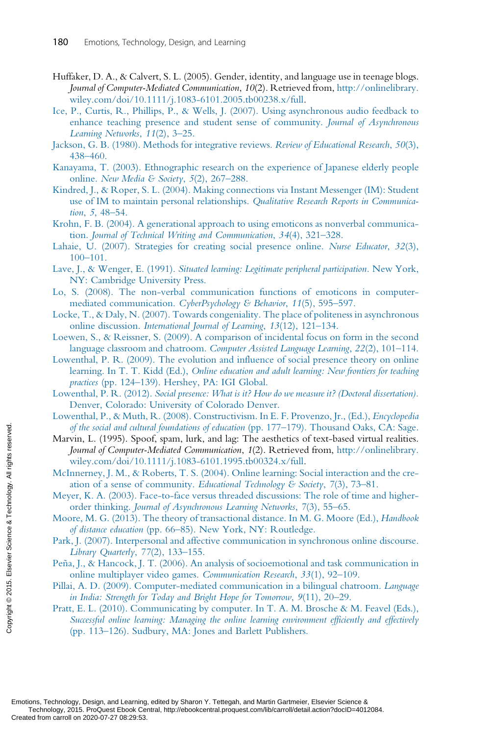- Huffaker, D. A., & Calvert, S. L. (2005). Gender, identity, and language use in teenage blogs. Journal of Computer-Mediated Communication, 10(2). Retrieved from, [http://onlinelibrary.](http://onlinelibrary.wiley.com/doi/10.1111/j.1083-6101.2005.tb00238.x/full) [wiley.com/doi/10.1111/j.1083-6101.2005.tb00238.x/full.](http://onlinelibrary.wiley.com/doi/10.1111/j.1083-6101.2005.tb00238.x/full)
- [Ice, P., Curtis, R., Phillips, P., & Wells, J. \(2007\). Using asynchronous audio feedback to](http://refhub.elsevier.com/B978-0-12-801856-9.00008-6/rf0160) [enhance teaching presence and student sense of community.](http://refhub.elsevier.com/B978-0-12-801856-9.00008-6/rf0160) Journal of Asynchronous [Learning Networks](http://refhub.elsevier.com/B978-0-12-801856-9.00008-6/rf0160), 11(2), 3–25.
- [Jackson, G. B. \(1980\). Methods for integrative reviews.](http://refhub.elsevier.com/B978-0-12-801856-9.00008-6/rf0165) Review of Educational Research, 50(3), [438–460.](http://refhub.elsevier.com/B978-0-12-801856-9.00008-6/rf0165)
- [Kanayama, T. \(2003\). Ethnographic research on the experience of Japanese elderly people](http://refhub.elsevier.com/B978-0-12-801856-9.00008-6/rf0170) online. [New Media & Society](http://refhub.elsevier.com/B978-0-12-801856-9.00008-6/rf0170), 5(2), 267–288.
- [Kindred, J., & Roper, S. L. \(2004\). Making connections via Instant Messenger \(IM\): Student](http://refhub.elsevier.com/B978-0-12-801856-9.00008-6/rf0175) [use of IM to maintain personal relationships.](http://refhub.elsevier.com/B978-0-12-801856-9.00008-6/rf0175) Qualitative Research Reports in Communication, 5[, 48–54.](http://refhub.elsevier.com/B978-0-12-801856-9.00008-6/rf0175)
- [Krohn, F. B. \(2004\). A generational approach to using emoticons as nonverbal communica](http://refhub.elsevier.com/B978-0-12-801856-9.00008-6/rf0180)tion. [Journal of Technical Writing and Communication](http://refhub.elsevier.com/B978-0-12-801856-9.00008-6/rf0180), 34(4), 321–328.
- [Lahaie, U. \(2007\). Strategies for creating social presence online.](http://refhub.elsevier.com/B978-0-12-801856-9.00008-6/rf0185) Nurse Educator, 32(3), [100–101.](http://refhub.elsevier.com/B978-0-12-801856-9.00008-6/rf0185)
- Lave, J., & Wenger, E. (1991). [Situated learning: Legitimate peripheral participation.](http://refhub.elsevier.com/B978-0-12-801856-9.00008-6/rf0190) New York, [NY: Cambridge University Press.](http://refhub.elsevier.com/B978-0-12-801856-9.00008-6/rf0190)
- [Lo, S. \(2008\). The non-verbal communication functions of emoticons in computer-](http://refhub.elsevier.com/B978-0-12-801856-9.00008-6/rf0200)mediated communication. [CyberPsychology & Behavior](http://refhub.elsevier.com/B978-0-12-801856-9.00008-6/rf0200), 11(5), 595-597.
- [Locke, T., & Daly, N. \(2007\). Towards congeniality. The place of politeness in asynchronous](http://refhub.elsevier.com/B978-0-12-801856-9.00008-6/rf0205) online discussion. [International Journal of Learning](http://refhub.elsevier.com/B978-0-12-801856-9.00008-6/rf0205), 13(12), 121–134.
- [Loewen, S., & Reissner, S. \(2009\). A comparison of incidental focus on form in the second](http://refhub.elsevier.com/B978-0-12-801856-9.00008-6/rf0210) language classroom and chatroom. [Computer Assisted Language Learning](http://refhub.elsevier.com/B978-0-12-801856-9.00008-6/rf0210), 22(2), 101–114.
- [Lowenthal, P. R. \(2009\). The evolution and influence of social presence theory on online](http://refhub.elsevier.com/B978-0-12-801856-9.00008-6/rf0215) learning. In T. T. Kidd (Ed.), [Online education and adult learning: New frontiers for teaching](http://refhub.elsevier.com/B978-0-12-801856-9.00008-6/rf0215) practices [\(pp. 124–139\). Hershey, PA: IGI Global.](http://refhub.elsevier.com/B978-0-12-801856-9.00008-6/rf0215)

Lowenthal, P. R. (2012). [Social presence: What is it? How do we measure it? \(Doctoral dissertation\).](http://refhub.elsevier.com/B978-0-12-801856-9.00008-6/rf0220) [Denver, Colorado: University of Colorado Denver.](http://refhub.elsevier.com/B978-0-12-801856-9.00008-6/rf0220)

- [Lowenthal, P., & Muth, R. \(2008\). Constructivism. In E. F. Provenzo, Jr., \(Ed.\),](http://refhub.elsevier.com/B978-0-12-801856-9.00008-6/rf0225) Encyclopedia [of the social and cultural foundations of education](http://refhub.elsevier.com/B978-0-12-801856-9.00008-6/rf0225) (pp. 177–179). Thousand Oaks, CA: Sage.
- Marvin, L. (1995). Spoof, spam, lurk, and lag: The aesthetics of text-based virtual realities. Journal of Computer-Mediated Communication, 1(2). Retrieved from, [http://onlinelibrary.](http://onlinelibrary.wiley.com/doi/10.1111/j.1083-6101.1995.tb00324.x/full) [wiley.com/doi/10.1111/j.1083-6101.1995.tb00324.x/full.](http://onlinelibrary.wiley.com/doi/10.1111/j.1083-6101.1995.tb00324.x/full)
- [McInnerney, J. M., & Roberts, T. S. \(2004\). Online learning: Social interaction and the cre](http://refhub.elsevier.com/B978-0-12-801856-9.00008-6/rf0235)ation of a sense of community. [Educational Technology & Society](http://refhub.elsevier.com/B978-0-12-801856-9.00008-6/rf0235), 7(3), 73–81.
- [Meyer, K. A. \(2003\). Face-to-face versus threaded discussions: The role of time and higher](http://refhub.elsevier.com/B978-0-12-801856-9.00008-6/rf0245)order thinking. [Journal of Asynchronous Learning Networks](http://refhub.elsevier.com/B978-0-12-801856-9.00008-6/rf0245), 7(3), 55–65.
- [Moore, M. G. \(2013\). The theory of transactional distance. In M. G. Moore \(Ed.\),](http://refhub.elsevier.com/B978-0-12-801856-9.00008-6/rf0250) *Handbook* of distance education [\(pp. 66–85\). New York, NY: Routledge.](http://refhub.elsevier.com/B978-0-12-801856-9.00008-6/rf0250)
- [Park, J. \(2007\). Interpersonal and affective communication in synchronous online discourse.](http://refhub.elsevier.com/B978-0-12-801856-9.00008-6/rf0255) [Library Quarterly](http://refhub.elsevier.com/B978-0-12-801856-9.00008-6/rf0255), 77(2), 133–155.
- Peña, J., & Hancock, J. T. (2006). An analysis of socioemotional and task communication in [online multiplayer video games.](http://refhub.elsevier.com/B978-0-12-801856-9.00008-6/rf0260) Communication Research, 33(1), 92–109.
- [Pillai, A. D. \(2009\). Computer-mediated communication in a bilingual chatroom.](http://refhub.elsevier.com/B978-0-12-801856-9.00008-6/rf0265) Language [in India: Strength for Today and Bright Hope for Tomorrow](http://refhub.elsevier.com/B978-0-12-801856-9.00008-6/rf0265), 9(11), 20-29.
- [Pratt, E. L. \(2010\). Communicating by computer. In T. A. M. Brosche & M. Feavel \(Eds.\),](http://refhub.elsevier.com/B978-0-12-801856-9.00008-6/rf0270) [Successful online learning: Managing the online learning environment efficiently and effectively](http://refhub.elsevier.com/B978-0-12-801856-9.00008-6/rf0270) [\(pp. 113–126\). Sudbury, MA: Jones and Barlett Publishers.](http://refhub.elsevier.com/B978-0-12-801856-9.00008-6/rf0270) of distance education<br>of distance education<br>Park, J. (2007). Interper<br>Library Quarterly, 7<br>Peña, J., & Hancock, J.<br>online multiplayer<br>Pillai, A. D. (2009). Co<br>in India: Strength for<br>Pratt, E. L. (2010). Con<br>Successful onli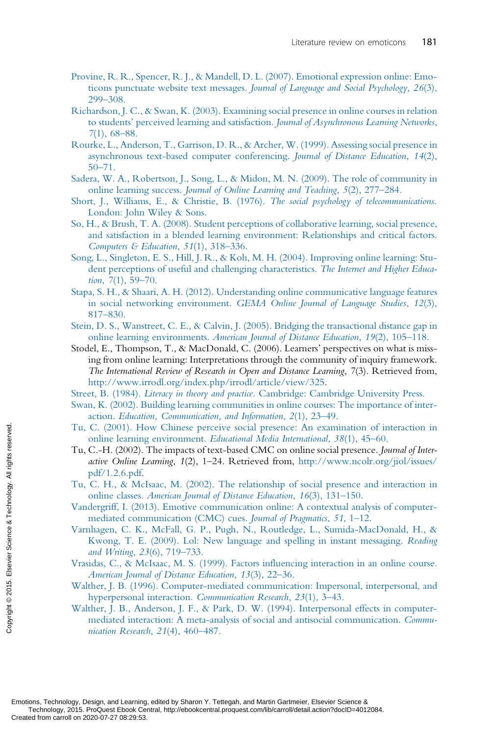- [Provine, R. R., Spencer, R. J., & Mandell, D. L. \(2007\). Emotional expression online: Emo](http://refhub.elsevier.com/B978-0-12-801856-9.00008-6/rf0275)[ticons punctuate website text messages.](http://refhub.elsevier.com/B978-0-12-801856-9.00008-6/rf0275) Journal of Language and Social Psychology, 26(3), [299–308.](http://refhub.elsevier.com/B978-0-12-801856-9.00008-6/rf0275)
- [Richardson, J. C., & Swan, K. \(2003\). Examining social presence in online courses in relation](http://refhub.elsevier.com/B978-0-12-801856-9.00008-6/rf0280) [to students' perceived learning and satisfaction.](http://refhub.elsevier.com/B978-0-12-801856-9.00008-6/rf0280) Journal of Asynchronous Learning Networks, 7[\(1\), 68–88.](http://refhub.elsevier.com/B978-0-12-801856-9.00008-6/rf0280)
- [Rourke, L., Anderson, T., Garrison, D. R., & Archer, W. \(1999\). Assessing social presence in](http://refhub.elsevier.com/B978-0-12-801856-9.00008-6/rf0285) [asynchronous text-based computer conferencing.](http://refhub.elsevier.com/B978-0-12-801856-9.00008-6/rf0285) Journal of Distance Education, 14(2), [50–71.](http://refhub.elsevier.com/B978-0-12-801856-9.00008-6/rf0285)
- [Sadera, W. A., Robertson, J., Song, L., & Midon, M. N. \(2009\). The role of community in](http://refhub.elsevier.com/B978-0-12-801856-9.00008-6/rf0295) online learning success. [Journal of Online Learning and Teaching](http://refhub.elsevier.com/B978-0-12-801856-9.00008-6/rf0295), 5(2), 277–284.
- [Short, J., Williams, E., & Christie, B. \(1976\).](http://refhub.elsevier.com/B978-0-12-801856-9.00008-6/rf0300) The social psychology of telecommunications. [London: John Wiley & Sons.](http://refhub.elsevier.com/B978-0-12-801856-9.00008-6/rf0300)
- [So, H., & Brush, T. A. \(2008\). Student perceptions of collaborative learning, social presence,](http://refhub.elsevier.com/B978-0-12-801856-9.00008-6/rf0305) [and satisfaction in a blended learning environment: Relationships and critical factors.](http://refhub.elsevier.com/B978-0-12-801856-9.00008-6/rf0305) [Computers & Education](http://refhub.elsevier.com/B978-0-12-801856-9.00008-6/rf0305), 51(1), 318–336.
- [Song, L., Singleton, E. S., Hill, J. R., & Koh, M. H. \(2004\). Improving online learning: Stu](http://refhub.elsevier.com/B978-0-12-801856-9.00008-6/rf0310)[dent perceptions of useful and challenging characteristics.](http://refhub.elsevier.com/B978-0-12-801856-9.00008-6/rf0310) The Internet and Higher Education, 7[\(1\), 59–70.](http://refhub.elsevier.com/B978-0-12-801856-9.00008-6/rf0310)
- [Stapa, S. H., & Shaari, A. H. \(2012\). Understanding online communicative language features](http://refhub.elsevier.com/B978-0-12-801856-9.00008-6/rf0315) in social networking environment. [GEMA Online Journal of Language Studies](http://refhub.elsevier.com/B978-0-12-801856-9.00008-6/rf0315), 12(3), [817–830.](http://refhub.elsevier.com/B978-0-12-801856-9.00008-6/rf0315)
- [Stein, D. S., Wanstreet, C. E., & Calvin, J. \(2005\). Bridging the transactional distance gap in](http://refhub.elsevier.com/B978-0-12-801856-9.00008-6/rf0320) online learning environments. [American Journal of Distance Education](http://refhub.elsevier.com/B978-0-12-801856-9.00008-6/rf0320), 19(2), 105-118.
- Stodel, E., Thompson, T., & MacDonald, C. (2006). Learners' perspectives on what is missing from online learning: Interpretations through the community of inquiry framework. The International Review of Research in Open and Distance Learning, 7(3). Retrieved from, <http://www.irrodl.org/index.php/irrodl/article/view/325>.
- Street, B. (1984). Literacy in theory and practice. [Cambridge: Cambridge University Press.](http://refhub.elsevier.com/B978-0-12-801856-9.00008-6/rf0330)
- [Swan, K. \(2002\). Building learning communities in online courses: The importance of inter](http://refhub.elsevier.com/B978-0-12-801856-9.00008-6/rf0335)action. [Education, Communication, and Information](http://refhub.elsevier.com/B978-0-12-801856-9.00008-6/rf0335), 2(1), 23–49.
- [Tu, C. \(2001\). How Chinese perceive social presence: An examination of interaction in](http://refhub.elsevier.com/B978-0-12-801856-9.00008-6/rf0340) online learning environment. [Educational Media International](http://refhub.elsevier.com/B978-0-12-801856-9.00008-6/rf0340), 38(1), 45-60.
- Tu, C.-H. (2002). The impacts of text-based CMC on online social presence. Journal of Interactive Online Learning, 1(2), 1–24. Retrieved from, [http://www.ncolr.org/jiol/issues/](http://www.ncolr.org/jiol/issues/pdf/1.2.6.pdf) [pdf/1.2.6.pdf.](http://www.ncolr.org/jiol/issues/pdf/1.2.6.pdf)
- [Tu, C. H., & McIsaac, M. \(2002\). The relationship of social presence and interaction in](http://refhub.elsevier.com/B978-0-12-801856-9.00008-6/rf0350) online classes. [American Journal of Distance Education](http://refhub.elsevier.com/B978-0-12-801856-9.00008-6/rf0350), 16(3), 131–150.
- [Vandergriff, I. \(2013\). Emotive communication online: A contextual analysis of computer](http://refhub.elsevier.com/B978-0-12-801856-9.00008-6/rf0355)[mediated communication \(CMC\) cues.](http://refhub.elsevier.com/B978-0-12-801856-9.00008-6/rf0355) Journal of Pragmatics, 51, 1–12.
- [Varnhagen, C. K., McFall, G. P., Pugh, N., Routledge, L., Sumida-MacDonald, H., &](http://refhub.elsevier.com/B978-0-12-801856-9.00008-6/rf0360) [Kwong, T. E. \(2009\). Lol: New language and spelling in instant messaging.](http://refhub.elsevier.com/B978-0-12-801856-9.00008-6/rf0360) Reading and Writing, 23[\(6\), 719–733.](http://refhub.elsevier.com/B978-0-12-801856-9.00008-6/rf0360) Varnhagen, C. K.,<br>Kwong, T. E.<br>*and Writing*, 23<br>Vrasidas, C., & Mc<br>*American Journa*<br>Walther, J. B. (199<br>hyperpersonal<br>Walther, J. B., Annediated intermination Research
	- [Vrasidas, C., & McIsaac, M. S. \(1999\). Factors influencing interaction in an online course.](http://refhub.elsevier.com/B978-0-12-801856-9.00008-6/rf0370) [American Journal of Distance Education](http://refhub.elsevier.com/B978-0-12-801856-9.00008-6/rf0370), 13(3), 22–36.
	- [Walther, J. B. \(1996\). Computer-mediated communication: Impersonal, interpersonal, and](http://refhub.elsevier.com/B978-0-12-801856-9.00008-6/rf0375) [hyperpersonal interaction.](http://refhub.elsevier.com/B978-0-12-801856-9.00008-6/rf0375) Communication Research, 23(1), 3-43.
	- [Walther, J. B., Anderson, J. F., & Park, D. W. \(1994\). Interpersonal effects in computer](http://refhub.elsevier.com/B978-0-12-801856-9.00008-6/rf0380)[mediated interaction: A meta-analysis of social and antisocial communication.](http://refhub.elsevier.com/B978-0-12-801856-9.00008-6/rf0380) Commu[nication Research](http://refhub.elsevier.com/B978-0-12-801856-9.00008-6/rf0380), 21(4), 460–487.